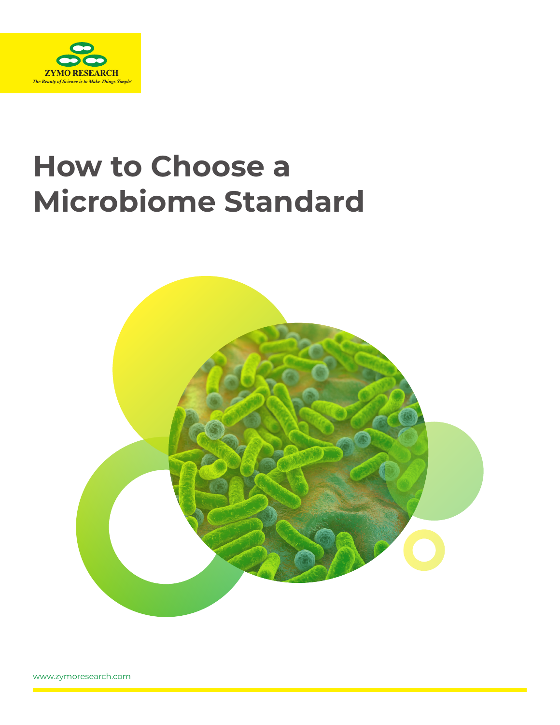

# **How to Choose a Microbiome Standard**

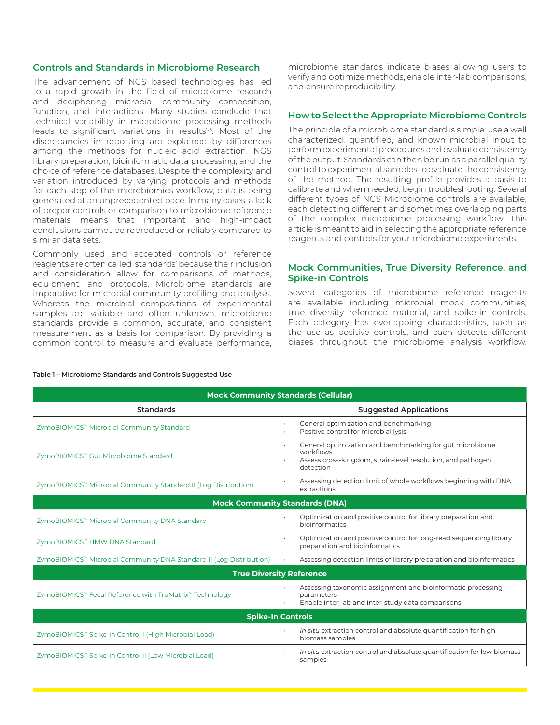# **Controls and Standards in Microbiome Research**

The advancement of NGS based technologies has led to a rapid growth in the field of microbiome research and deciphering microbial community composition, function, and interactions. Many studies conclude that technical variability in microbiome processing methods leads to significant variations in results<sup>1-3</sup>. Most of the discrepancies in reporting are explained by differences among the methods for nucleic acid extraction, NGS library preparation, bioinformatic data processing, and the choice of reference databases. Despite the complexity and variation introduced by varying protocols and methods for each step of the microbiomics workflow, data is being generated at an unprecedented pace. In many cases, a lack of proper controls or comparison to microbiome reference materials means that important and high-impact conclusions cannot be reproduced or reliably compared to similar data sets.

Commonly used and accepted controls or reference reagents are often called 'standards' because their inclusion and consideration allow for comparisons of methods, equipment, and protocols. Microbiome standards are imperative for microbial community profiling and analysis. Whereas the microbial compositions of experimental samples are variable and often unknown, microbiome standards provide a common, accurate, and consistent measurement as a basis for comparison. By providing a common control to measure and evaluate performance,

microbiome standards indicate biases allowing users to verify and optimize methods, enable inter-lab comparisons, and ensure reproducibility.

# **How to Select the Appropriate Microbiome Controls**

The principle of a microbiome standard is simple: use a well characterized, quantified, and known microbial input to perform experimental procedures and evaluate consistency of the output. Standards can then be run as a parallel quality control to experimental samples to evaluate the consistency of the method. The resulting profile provides a basis to calibrate and when needed, begin troubleshooting. Several different types of NGS Microbiome controls are available, each detecting different and sometimes overlapping parts of the complex microbiome processing workflow. This article is meant to aid in selecting the appropriate reference reagents and controls for your microbiome experiments.

# **Mock Communities, True Diversity Reference, and Spike-in Controls**

Several categories of microbiome reference reagents are available including microbial mock communities, true diversity reference material, and spike-in controls. Each category has overlapping characteristics, such as the use as positive controls, and each detects different biases throughout the microbiome analysis workflow.

| <b>Mock Community Standards (Cellular)</b>                          |                                                                                                                                                   |  |  |  |  |  |  |  |  |
|---------------------------------------------------------------------|---------------------------------------------------------------------------------------------------------------------------------------------------|--|--|--|--|--|--|--|--|
| <b>Standards</b>                                                    | <b>Suggested Applications</b>                                                                                                                     |  |  |  |  |  |  |  |  |
| ZymoBIOMICS™ Microbial Community Standard                           | General optimization and benchmarking<br>$\bullet$<br>Positive control for microbial lysis<br>٠                                                   |  |  |  |  |  |  |  |  |
| ZymoBIOMICS™ Gut Microbiome Standard                                | General optimization and benchmarking for gut microbiome<br>workflows<br>Assess cross-kingdom, strain-level resolution, and pathogen<br>detection |  |  |  |  |  |  |  |  |
| ZymoBIOMICS™ Microbial Community Standard II (Log Distribution)     | Assessing detection limit of whole workflows beginning with DNA<br>$\bullet$<br>extractions                                                       |  |  |  |  |  |  |  |  |
| <b>Mock Community Standards (DNA)</b>                               |                                                                                                                                                   |  |  |  |  |  |  |  |  |
| ZymoBIOMICS™ Microbial Community DNA Standard                       | Optimization and positive control for library preparation and<br>bioinformatics                                                                   |  |  |  |  |  |  |  |  |
| ZymoBIOMICS™ HMW DNA Standard                                       | Optimization and positive control for long-read sequencing library<br>$\bullet$<br>preparation and bioinformatics                                 |  |  |  |  |  |  |  |  |
| ZymoBIOMICS™ Microbial Community DNA Standard II (Log Distribution) | Assessing detection limits of library preparation and bioinformatics                                                                              |  |  |  |  |  |  |  |  |
| <b>True Diversity Reference</b>                                     |                                                                                                                                                   |  |  |  |  |  |  |  |  |
| ZymoBIOMICS™ Fecal Reference with TruMatrix™ Technology             | Assessing taxonomic assignment and bioinformatic processing<br>parameters<br>Enable inter-lab and inter-study data comparisons                    |  |  |  |  |  |  |  |  |
| <b>Spike-In Controls</b>                                            |                                                                                                                                                   |  |  |  |  |  |  |  |  |
| ZymoBIOMICS™ Spike-in Control I (High Microbial Load)               | In situ extraction control and absolute quantification for high<br>biomass samples                                                                |  |  |  |  |  |  |  |  |
| ZymoBIOMICS™ Spike-in Control II (Low Microbial Load)               | In situ extraction control and absolute quantification for low biomass<br>samples                                                                 |  |  |  |  |  |  |  |  |

#### **Table 1 – Microbiome Standards and Controls Suggested Use**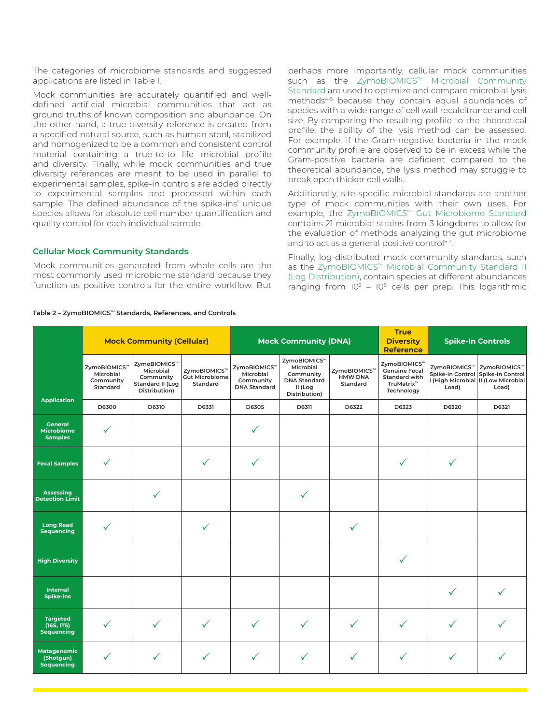The categories of microbiome standards and suggested applications are listed in Table 1.

Mock communities are accurately quantified and welldefined artificial microbial communities that act as ground truths of known composition and abundance. On the other hand, a true diversity reference is created from a specified natural source, such as human stool, stabilized and homogenized to be a common and consistent control material containing a true-to-to life microbial profile and diversity. Finally, while mock communities and true diversity references are meant to be used in parallel to experimental samples, spike-in controls are added directly to experimental samples and processed within each sample. The defined abundance of the spike-ins' unique species allows for absolute cell number quantification and quality control for each individual sample.

### **Cellular Mock Community Standards**

Mock communities generated from whole cells are the most commonly used microbiome standard because they function as positive controls for the entire workflow. But perhaps more importantly, cellular mock communities such as the [ZymoBIOMICS™ Microbial Community](https://www.zymoresearch.com/products/zymobiomics-microbial-community-standard) [Standard](https://www.zymoresearch.com/products/zymobiomics-microbial-community-standard) are used to optimize and compare microbial lysis methods<sup>4-5</sup> because they contain equal abundances of species with a wide range of cell wall recalcitrance and cell size. By comparing the resulting profile to the theoretical profile, the ability of the lysis method can be assessed. For example, if the Gram-negative bacteria in the mock community profile are observed to be in excess while the Gram-positive bacteria are deficient compared to the theoretical abundance, the lysis method may struggle to break open thicker cell walls.

Additionally, site-specific microbial standards are another type of mock communities with their own uses. For example, the [ZymoBIOMICS™ Gut Microbiome Standard](https://www.zymoresearch.com/products/zymobiomics-gut-microbiome-standard)  contains 21 microbial strains from 3 kingdoms to allow for the evaluation of methods analyzing the gut microbiome and to act as a general positive control<sup>6-7</sup>.

Finally, log-distributed mock community standards, such as the [ZymoBIOMICS™ Microbial Community Standard II](https://www.zymoresearch.com/products/zymobiomics-microbial-community-standard-ii-log-distribution)  [\(Log Distribution\)](https://www.zymoresearch.com/products/zymobiomics-microbial-community-standard-ii-log-distribution), contain species at different abundances ranging from  $10^2 - 10^8$  cells per prep. This logarithmic

|                                                       | <b>Mock Community (Cellular)</b>                               |                                                                                    |                                            | <b>Mock Community (DNA)</b>                                   |                                                                                           |                                            | <b>True</b><br><b>Diversity</b><br><b>Reference</b>                                                       | <b>Spike-In Controls</b>                              |                                                                                         |
|-------------------------------------------------------|----------------------------------------------------------------|------------------------------------------------------------------------------------|--------------------------------------------|---------------------------------------------------------------|-------------------------------------------------------------------------------------------|--------------------------------------------|-----------------------------------------------------------------------------------------------------------|-------------------------------------------------------|-----------------------------------------------------------------------------------------|
|                                                       | ZymoBIOMICS <sup>™</sup><br>Microbial<br>Community<br>Standard | ZymoBIOMICS™<br>Microbial<br>Community<br><b>Standard II (Log</b><br>Distribution) | ZymoBIOMICS™<br>Gut Microbiome<br>Standard | ZymoBIOMICS™<br>Microbial<br>Community<br><b>DNA Standard</b> | ZymoBIOMICS™<br>Microbial<br>Community<br><b>DNA Standard</b><br>II (Log<br>Distribution) | ZymoBIOMICS™<br><b>HMW DNA</b><br>Standard | ZymoBIOMICS <sup>®</sup><br><b>Genuine Fecal</b><br>Standard with<br>TruMatrix <sup>™</sup><br>Technology | ZymoBIOMICS <sup>™</sup><br>Spike-in Control<br>Load) | ZymoBIOMICS™<br><b>Spike-in Control</b><br>I (High Microbial II (Low Microbial<br>Load) |
| <b>Application</b>                                    | D6300                                                          | D6310                                                                              | D6331                                      | D6305                                                         | D6311                                                                                     | D6322                                      | D6323                                                                                                     | D6320                                                 | D6321                                                                                   |
| <b>General</b><br><b>Microbiome</b><br><b>Samples</b> |                                                                |                                                                                    |                                            |                                                               |                                                                                           |                                            |                                                                                                           |                                                       |                                                                                         |
| <b>Fecal Samples</b>                                  |                                                                |                                                                                    | ✓                                          |                                                               |                                                                                           |                                            | ✓                                                                                                         | ✓                                                     |                                                                                         |
| <b>Assessing</b><br><b>Detection Limit</b>            |                                                                |                                                                                    |                                            |                                                               |                                                                                           |                                            |                                                                                                           |                                                       |                                                                                         |
| <b>Long Read</b><br><b>Sequencing</b>                 | $\checkmark$                                                   |                                                                                    | ✓                                          |                                                               |                                                                                           | $\checkmark$                               |                                                                                                           |                                                       |                                                                                         |
| <b>High Diversity</b>                                 |                                                                |                                                                                    |                                            |                                                               |                                                                                           |                                            |                                                                                                           |                                                       |                                                                                         |
| <b>Internal</b><br><b>Spike-ins</b>                   |                                                                |                                                                                    |                                            |                                                               |                                                                                           |                                            |                                                                                                           | ✓                                                     |                                                                                         |
| <b>Targeted</b><br>(16S, 1TS)<br><b>Sequencing</b>    | ✓                                                              | ✓                                                                                  | ✓                                          |                                                               | ✓                                                                                         | ✓                                          | ✓                                                                                                         |                                                       |                                                                                         |
| <b>Metagenomic</b><br>(Shotgun)<br><b>Sequencing</b>  | ✓                                                              |                                                                                    | ✓                                          |                                                               | $\checkmark$                                                                              | ✓                                          |                                                                                                           | $\checkmark$                                          |                                                                                         |

#### **Table 2 – ZymoBIOMICS™ Standards, References, and Controls**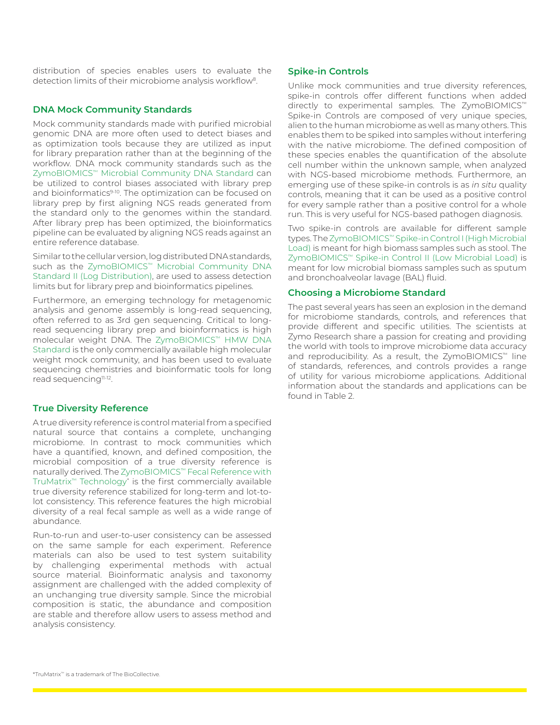distribution of species enables users to evaluate the detection limits of their microbiome analysis workflow<sup>8</sup>.

## **DNA Mock Community Standards**

Mock community standards made with purified microbial genomic DNA are more often used to detect biases and as optimization tools because they are utilized as input for library preparation rather than at the beginning of the workflow. DNA mock community standards such as the [ZymoBIOMICS™ Microbial Community DNA Standard](https://www.zymoresearch.com/products/zymobiomics-microbial-community-dna-standard) can be utilized to control biases associated with library prep and bioinformatics<sup>9-10</sup>. The optimization can be focused on library prep by first aligning NGS reads generated from the standard only to the genomes within the standard. After library prep has been optimized, the bioinformatics pipeline can be evaluated by aligning NGS reads against an entire reference database.

Similar to the cellular version, log distributed DNA standards, such as the ZymoBIOMICS™ Microbial Community DNA [Standard II \(Log Distribution\)](https://www.zymoresearch.com/products/zymobiomics-microbial-community-dna-standard-ii-log-distribution), are used to assess detection limits but for library prep and bioinformatics pipelines.

Furthermore, an emerging technology for metagenomic analysis and genome assembly is long-read sequencing, often referred to as 3rd gen sequencing. Critical to longread sequencing library prep and bioinformatics is high molecular weight DNA. The [ZymoBIOMICS™ HMW DNA](https://www.zymoresearch.com/products/zymobiomics-hmw-dna-standard) [Standard](https://www.zymoresearch.com/products/zymobiomics-hmw-dna-standard) is the only commercially available high molecular weight mock community, and has been used to evaluate sequencing chemistries and bioinformatic tools for long read sequencing11-12.

# **True Diversity Reference**

A true diversity reference is control material from a specified natural source that contains a complete, unchanging microbiome. In contrast to mock communities which have a quantified, known, and defined composition, the microbial composition of a true diversity reference is naturally derived. The [ZymoBIOMICS™ Fecal Reference with](https://www.zymoresearch.com/products/zymobiomics-fecal-reference-with-trumatrix-technology) [TruMatrix™ Technology](https://www.zymoresearch.com/products/zymobiomics-fecal-reference-with-trumatrix-technology)\* is the first commercially available true diversity reference stabilized for long-term and lot-tolot consistency. This reference features the high microbial diversity of a real fecal sample as well as a wide range of abundance.

Run-to-run and user-to-user consistency can be assessed on the same sample for each experiment. Reference materials can also be used to test system suitability by challenging experimental methods with actual source material. Bioinformatic analysis and taxonomy assignment are challenged with the added complexity of an unchanging true diversity sample. Since the microbial composition is static, the abundance and composition are stable and therefore allow users to assess method and analysis consistency.

## **Spike-in Controls**

Unlike mock communities and true diversity references, spike-in controls offer different functions when added directly to experimental samples. The ZymoBIOMICS™ Spike-in Controls are composed of very unique species, alien to the human microbiome as well as many others. This enables them to be spiked into samples without interfering with the native microbiome. The defined composition of these species enables the quantification of the absolute cell number within the unknown sample, when analyzed with NGS-based microbiome methods. Furthermore, an emerging use of these spike-in controls is as *in situ* quality controls, meaning that it can be used as a positive control for every sample rather than a positive control for a whole run. This is very useful for NGS-based pathogen diagnosis.

Two spike-in controls are available for different sample types. The [ZymoBIOMICS™ Spike-in Control I \(High Microbial](https://www.zymoresearch.com/products/zymobiomics-spike-in-control-i-high-microbial-load) [Load\)](https://www.zymoresearch.com/products/zymobiomics-spike-in-control-i-high-microbial-load) is meant for high biomass samples such as stool. The [ZymoBIOMICS™ Spike-in Control II \(Low Microbial Load\)](https://www.zymoresearch.com/products/zymobiomics-spike-in-control-ii-low-microbial-load) is meant for low microbial biomass samples such as sputum and bronchoalveolar lavage (BAL) fluid.

## **Choosing a Microbiome Standard**

The past several years has seen an explosion in the demand for microbiome standards, controls, and references that provide different and specific utilities. The scientists at Zymo Research share a passion for creating and providing the world with tools to improve microbiome data accuracy and reproducibility. As a result, the ZymoBIOMICS™ line of standards, references, and controls provides a range of utility for various microbiome applications. Additional information about the standards and applications can be found in Table 2.